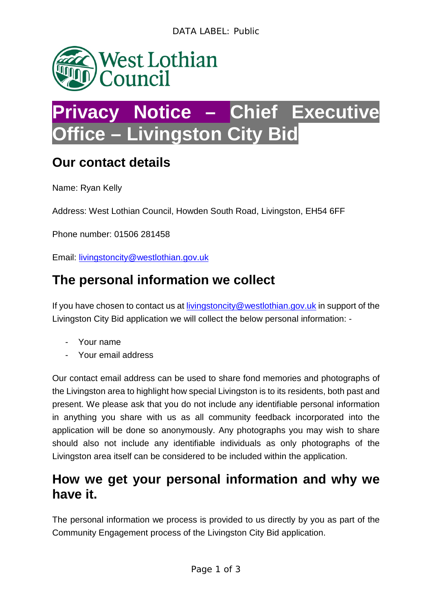

# **Privacy Notice – Chief Executive Office – Livingston City Bid**

### **Our contact details**

Name: Ryan Kelly

Address: West Lothian Council, Howden South Road, Livingston, EH54 6FF

Phone number: 01506 281458

Email: [livingstoncity@westlothian.gov.uk](mailto:livingstoncity@westlothian.gov.uk) 

## **The personal information we collect**

If you have chosen to contact us at [livingstoncity@westlothian.gov.uk](mailto:livingstoncity@westlothian.gov.uk) in support of the Livingston City Bid application we will collect the below personal information: -

- Your name
- Your email address

Our contact email address can be used to share fond memories and photographs of the Livingston area to highlight how special Livingston is to its residents, both past and present. We please ask that you do not include any identifiable personal information in anything you share with us as all community feedback incorporated into the application will be done so anonymously. Any photographs you may wish to share should also not include any identifiable individuals as only photographs of the Livingston area itself can be considered to be included within the application.

#### **How we get your personal information and why we have it.**

The personal information we process is provided to us directly by you as part of the Community Engagement process of the Livingston City Bid application.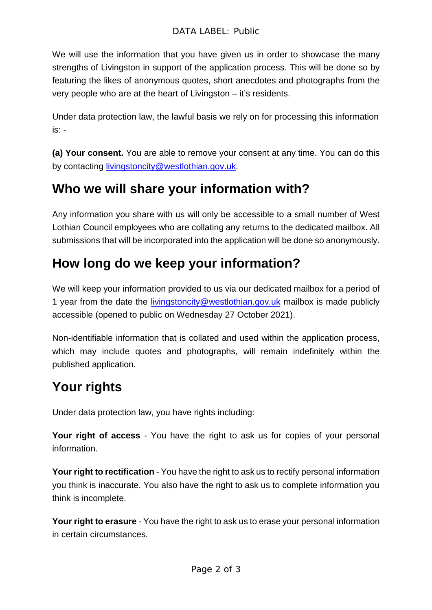We will use the information that you have given us in order to showcase the many strengths of Livingston in support of the application process. This will be done so by featuring the likes of anonymous quotes, short anecdotes and photographs from the very people who are at the heart of Livingston – it's residents.

Under data protection law, the lawful basis we rely on for processing this information is: -

**(a) Your consent.** You are able to remove your consent at any time. You can do this by contacting [livingstoncity@westlothian.gov.uk.](mailto:livingstoncity@westlothian.gov.uk)

# **Who we will share your information with?**

Any information you share with us will only be accessible to a small number of West Lothian Council employees who are collating any returns to the dedicated mailbox. All submissions that will be incorporated into the application will be done so anonymously.

# **How long do we keep your information?**

We will keep your information provided to us via our dedicated mailbox for a period of 1 year from the date the [livingstoncity@westlothian.gov.uk](mailto:livingstoncity@westlothian.gov.uk) mailbox is made publicly accessible (opened to public on Wednesday 27 October 2021).

Non-identifiable information that is collated and used within the application process, which may include quotes and photographs, will remain indefinitely within the published application.

# **Your rights**

Under data protection law, you have rights including:

**Your right of access** - You have the right to ask us for copies of your personal information.

**Your right to rectification** - You have the right to ask us to rectify personal information you think is inaccurate. You also have the right to ask us to complete information you think is incomplete.

**Your right to erasure** - You have the right to ask us to erase your personal information in certain circumstances.